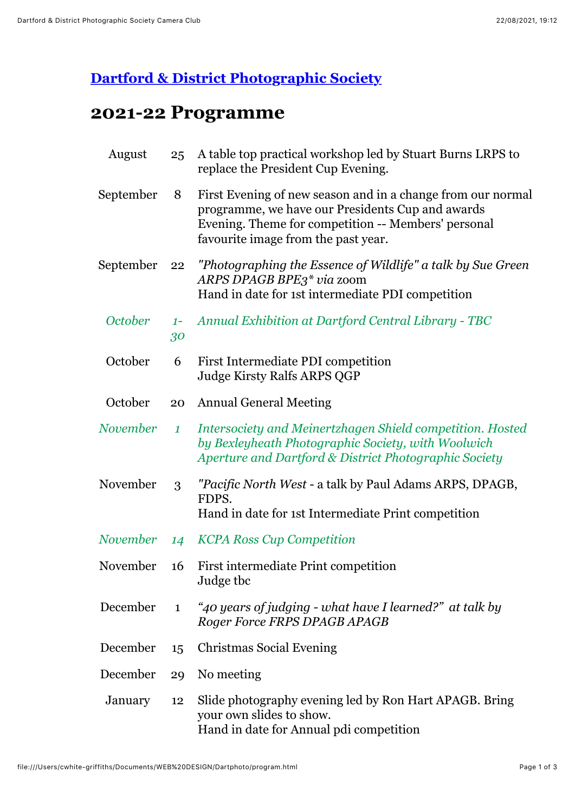## **[Dartford & District Photographic Society](file:///Users/cwhite-griffiths/Documents/WEB%20DESIGN/Dartphoto/program.html#)**

## **2021-22 Programme**

| August         | 25               | A table top practical workshop led by Stuart Burns LRPS to<br>replace the President Cup Evening.                                                                                                              |
|----------------|------------------|---------------------------------------------------------------------------------------------------------------------------------------------------------------------------------------------------------------|
| September      | 8                | First Evening of new season and in a change from our normal<br>programme, we have our Presidents Cup and awards<br>Evening. Theme for competition -- Members' personal<br>favourite image from the past year. |
| September      | 22               | "Photographing the Essence of Wildlife" a talk by Sue Green<br>ARPS DPAGB BPE3* via zoom<br>Hand in date for 1st intermediate PDI competition                                                                 |
| <b>October</b> | $1 -$<br>30      | <b>Annual Exhibition at Dartford Central Library - TBC</b>                                                                                                                                                    |
| October        | 6                | First Intermediate PDI competition<br><b>Judge Kirsty Ralfs ARPS QGP</b>                                                                                                                                      |
| October        | 20               | <b>Annual General Meeting</b>                                                                                                                                                                                 |
| November       | $\boldsymbol{1}$ | Intersociety and Meinertzhagen Shield competition. Hosted<br>by Bexleyheath Photographic Society, with Woolwich<br>Aperture and Dartford & District Photographic Society                                      |
| November       | 3                | "Pacific North West - a talk by Paul Adams ARPS, DPAGB,<br>FDPS.<br>Hand in date for 1st Intermediate Print competition                                                                                       |
| November       | 14               | <b>KCPA Ross Cup Competition</b>                                                                                                                                                                              |
| November       | 16               | First intermediate Print competition<br>Judge tbc                                                                                                                                                             |
| December       | $\mathbf{1}$     | "40 years of judging - what have I learned?" at talk by<br>Roger Force FRPS DPAGB APAGB                                                                                                                       |
| December       | 15               | <b>Christmas Social Evening</b>                                                                                                                                                                               |
| December       | 29               | No meeting                                                                                                                                                                                                    |
| January        | 12               | Slide photography evening led by Ron Hart APAGB. Bring<br>your own slides to show.<br>Hand in date for Annual pdi competition                                                                                 |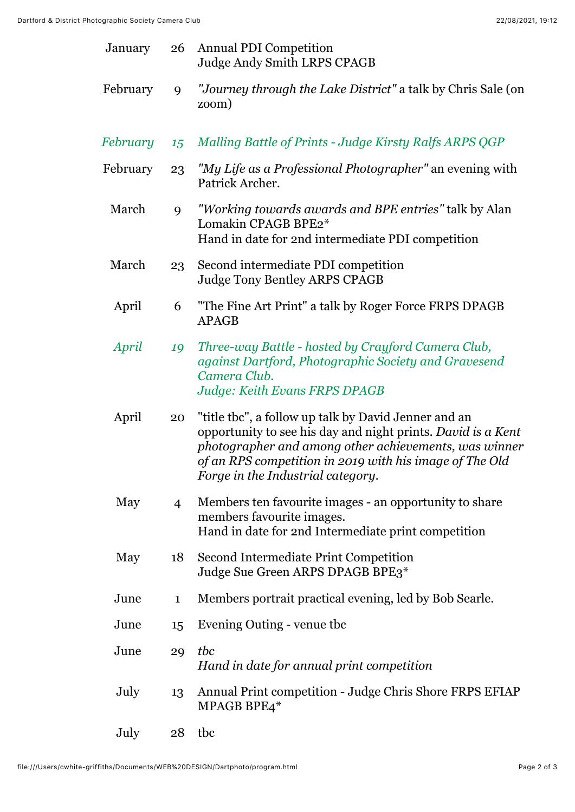| January  |                | 26 Annual PDI Competition<br><b>Judge Andy Smith LRPS CPAGB</b>                                                                                                                                                                                                               |
|----------|----------------|-------------------------------------------------------------------------------------------------------------------------------------------------------------------------------------------------------------------------------------------------------------------------------|
| February | 9              | "Journey through the Lake District" a talk by Chris Sale (on<br>zoom)                                                                                                                                                                                                         |
| February | 15             | Malling Battle of Prints - Judge Kirsty Ralfs ARPS QGP                                                                                                                                                                                                                        |
| February | 23             | "My Life as a Professional Photographer" an evening with<br>Patrick Archer.                                                                                                                                                                                                   |
| March    | 9              | "Working towards awards and BPE entries" talk by Alan<br>Lomakin CPAGB BPE2*<br>Hand in date for 2nd intermediate PDI competition                                                                                                                                             |
| March    | 23             | Second intermediate PDI competition<br><b>Judge Tony Bentley ARPS CPAGB</b>                                                                                                                                                                                                   |
| April    | 6              | "The Fine Art Print" a talk by Roger Force FRPS DPAGB<br><b>APAGB</b>                                                                                                                                                                                                         |
| April    | 19             | Three-way Battle - hosted by Crayford Camera Club,<br>against Dartford, Photographic Society and Gravesend<br>Camera Club.<br><b>Judge: Keith Evans FRPS DPAGB</b>                                                                                                            |
| April    | 20             | "title tbc", a follow up talk by David Jenner and an<br>opportunity to see his day and night prints. David is a Kent<br>photographer and among other achievements, was winner<br>of an RPS competition in 2019 with his image of The Old<br>Forge in the Industrial category. |
| May      | $\overline{4}$ | Members ten favourite images - an opportunity to share<br>members favourite images.<br>Hand in date for 2nd Intermediate print competition                                                                                                                                    |
| May      | 18             | Second Intermediate Print Competition<br>Judge Sue Green ARPS DPAGB BPE3*                                                                                                                                                                                                     |
| June     | $\mathbf{1}$   | Members portrait practical evening, led by Bob Searle.                                                                                                                                                                                                                        |
| June     | 15             | Evening Outing - venue the                                                                                                                                                                                                                                                    |
| June     | 29             | tbc<br>Hand in date for annual print competition                                                                                                                                                                                                                              |
| July     | 13             | Annual Print competition - Judge Chris Shore FRPS EFIAP<br>MPAGB BPE4*                                                                                                                                                                                                        |
| July     | 28             | tbc                                                                                                                                                                                                                                                                           |